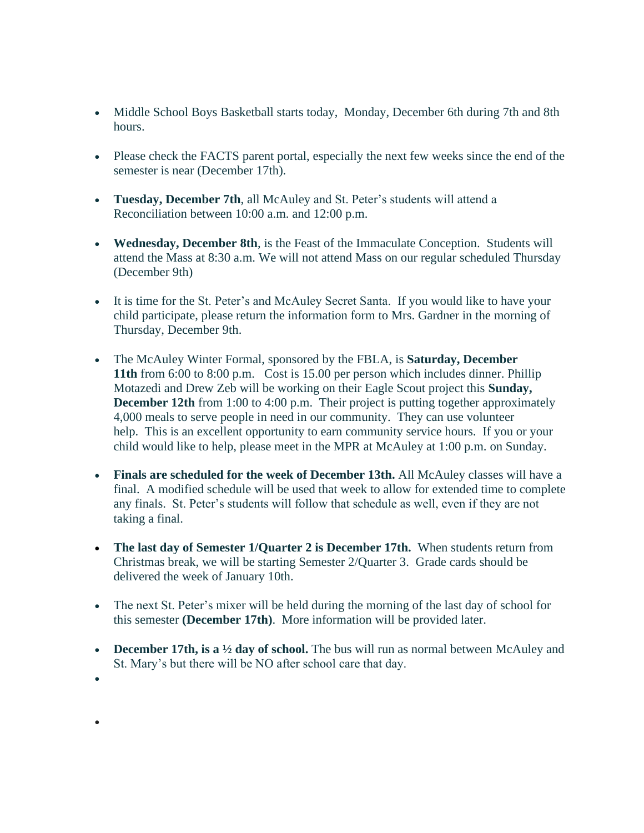- Middle School Boys Basketball starts today, Monday, December 6th during 7th and 8th hours.
- Please check the FACTS parent portal, especially the next few weeks since the end of the semester is near (December 17th).
- **Tuesday, December 7th**, all McAuley and St. Peter's students will attend a Reconciliation between 10:00 a.m. and 12:00 p.m.
- **Wednesday, December 8th**, is the Feast of the Immaculate Conception. Students will attend the Mass at 8:30 a.m. We will not attend Mass on our regular scheduled Thursday (December 9th)
- It is time for the St. Peter's and McAuley Secret Santa. If you would like to have your child participate, please return the information form to Mrs. Gardner in the morning of Thursday, December 9th.
- The McAuley Winter Formal, sponsored by the FBLA, is **Saturday, December 11th** from 6:00 to 8:00 p.m. Cost is 15.00 per person which includes dinner. Phillip Motazedi and Drew Zeb will be working on their Eagle Scout project this **Sunday, December 12th** from 1:00 to 4:00 p.m. Their project is putting together approximately 4,000 meals to serve people in need in our community. They can use volunteer help. This is an excellent opportunity to earn community service hours. If you or your child would like to help, please meet in the MPR at McAuley at 1:00 p.m. on Sunday.
- **Finals are scheduled for the week of December 13th.** All McAuley classes will have a final. A modified schedule will be used that week to allow for extended time to complete any finals. St. Peter's students will follow that schedule as well, even if they are not taking a final.
- **The last day of Semester 1/Quarter 2 is December 17th.** When students return from Christmas break, we will be starting Semester 2/Quarter 3. Grade cards should be delivered the week of January 10th.
- The next St. Peter's mixer will be held during the morning of the last day of school for this semester **(December 17th)**. More information will be provided later.
- **December 17th, is a ½ day of school.** The bus will run as normal between McAuley and St. Mary's but there will be NO after school care that day.

•

•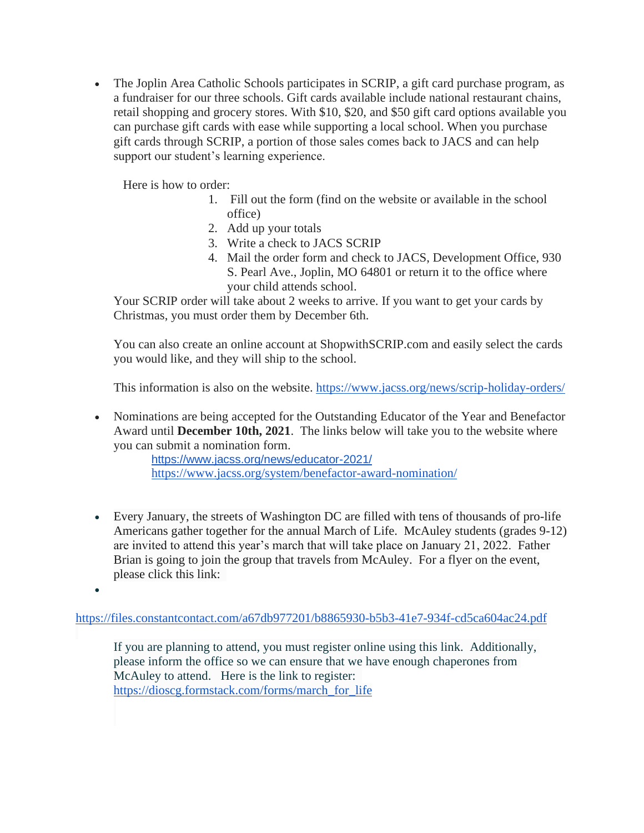• The Joplin Area Catholic Schools participates in SCRIP, a gift card purchase program, as a fundraiser for our three schools. Gift cards available include national restaurant chains, retail shopping and grocery stores. With \$10, \$20, and \$50 gift card options available you can purchase gift cards with ease while supporting a local school. When you purchase gift cards through SCRIP, a portion of those sales comes back to JACS and can help support our student's learning experience.

Here is how to order:

- 1. Fill out the form (find on the website or available in the school office)
- 2. Add up your totals
- 3. Write a check to JACS SCRIP
- 4. Mail the order form and check to JACS, Development Office, 930 S. Pearl Ave., Joplin, MO 64801 or return it to the office where your child attends school.

Your SCRIP order will take about 2 weeks to arrive. If you want to get your cards by Christmas, you must order them by December 6th.

You can also create an online account at ShopwithSCRIP.com and easily select the cards you would like, and they will ship to the school.

This information is also on the website. <https://www.jacss.org/news/scrip-holiday-orders/>

• Nominations are being accepted for the Outstanding Educator of the Year and Benefactor Award until **December 10th, 2021**. The links below will take you to the website where you can submit a nomination form.

<https://www.jacss.org/news/educator-2021/> <https://www.jacss.org/system/benefactor-award-nomination/>

- Every January, the streets of Washington DC are filled with tens of thousands of pro-life Americans gather together for the annual March of Life. McAuley students (grades 9-12) are invited to attend this year's march that will take place on January 21, 2022. Father Brian is going to join the group that travels from McAuley. For a flyer on the event, please click this link:
- •

<https://files.constantcontact.com/a67db977201/b8865930-b5b3-41e7-934f-cd5ca604ac24.pdf>

If you are planning to attend, you must register online using this link. Additionally, please inform the office so we can ensure that we have enough chaperones from McAuley to attend. Here is the link to register: [https://dioscg.formstack.com/forms/march\\_for\\_life](https://dioscg.formstack.com/forms/march_for_life)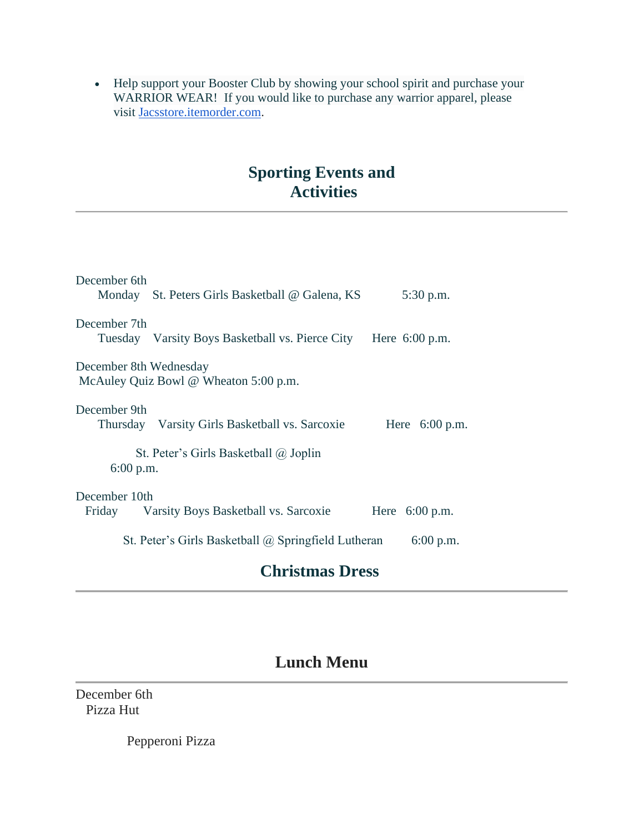• Help support your Booster Club by showing your school spirit and purchase your WARRIOR WEAR! If you would like to purchase any warrior apparel, please visit [Jacsstore.itemorder.com.](http://jacsstore.itemorder.com/)

## **Sporting Events and Activities**

| December 6th           | Monday St. Peters Girls Basketball @ Galena, KS            | 5:30 p.m.        |
|------------------------|------------------------------------------------------------|------------------|
| December 7th           | Tuesday Varsity Boys Basketball vs. Pierce City            | Here $6:00$ p.m. |
| December 8th Wednesday | McAuley Quiz Bowl @ Wheaton 5:00 p.m.                      |                  |
| December 9th           | Thursday Varsity Girls Basketball vs. Sarcoxie             | Here $6:00$ p.m. |
| $6:00$ p.m.            | St. Peter's Girls Basketball $(a)$ Joplin                  |                  |
| December 10th          | Friday Varsity Boys Basketball vs. Sarcoxie                | Here $6:00$ p.m. |
|                        | St. Peter's Girls Basketball $\omega$ Springfield Lutheran | 6:00 p.m.        |

## **Christmas Dress**

## **Lunch Menu**

December 6th Pizza Hut

Pepperoni Pizza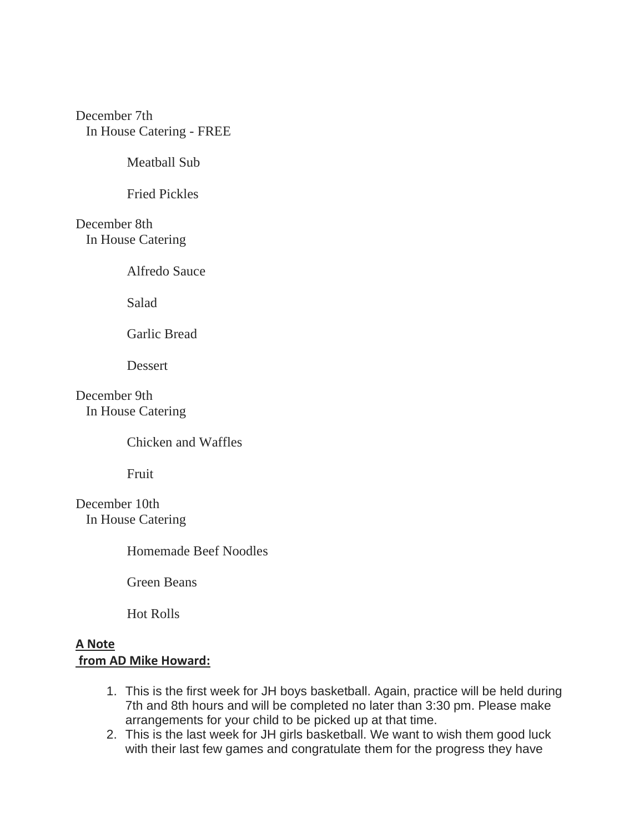December 7th In House Catering - FREE

Meatball Sub

Fried Pickles

December 8th In House Catering

Alfredo Sauce

Salad

Garlic Bread

Dessert

December 9th In House Catering

Chicken and Waffles

Fruit

December 10th In House Catering

Homemade Beef Noodles

Green Beans

Hot Rolls

## **A Note from AD Mike Howard:**

- 1. This is the first week for JH boys basketball. Again, practice will be held during 7th and 8th hours and will be completed no later than 3:30 pm. Please make arrangements for your child to be picked up at that time.
- 2. This is the last week for JH girls basketball. We want to wish them good luck with their last few games and congratulate them for the progress they have